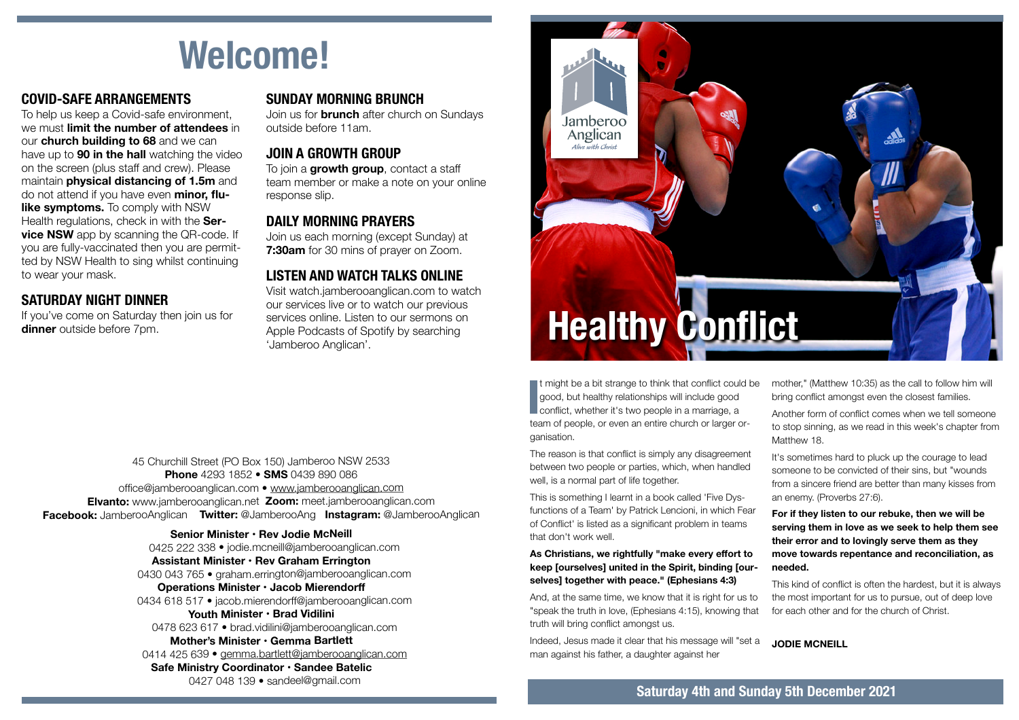# **Welcome!**

# **COVID-SAFE ARRANGEMENTS**

To help us keep a Covid-safe environment, we must **limit the number of attendees** in our **church building to 68** and we can have up to **90 in the hall** watching the video on the screen (plus staff and crew). Please maintain **physical distancing of 1.5m** and do not attend if you have even **minor, flulike symptoms.** To comply with NSW Health regulations, check in with the **Service NSW** app by scanning the QR-code. If you are fully-vaccinated then you are permitted by NSW Health to sing whilst continuing to wear your mask.

# **SATURDAY NIGHT DINNER**

If you've come on Saturday then join us for **dinner** outside before 7pm.

#### **SUNDAY MORNING BRUNCH**

Join us for **brunch** after church on Sundays outside before 11am.

#### **JOIN A GROWTH GROUP**

To join a **growth group**, contact a staff team member or make a note on your online response slip.

#### **DAILY MORNING PRAYERS**

Join us each morning (except Sunday) at **7:30am** for 30 mins of prayer on Zoom.

# **LISTEN AND WATCH TALKS ONLINE**

Visit watch.jamberooanglican.com to watch our services live or to watch our previous services online. Listen to our sermons on Apple Podcasts of Spotify by searching 'Jamberoo Anglican'.

45 Churchill Street (PO Box 150) Jamberoo NSW 2533 **Phone** 4293 1852 • **SMS** 0439 890 086 office@jamberooanglican.com • [www.jamberooanglican.com](http://www.jamberooanglican.com) **Elvanto:** www.jamberooanglican.net **Zoom:** meet.jamberooanglican.com **Facebook:** JamberooAnglican **Twitter:** @JamberooAng **Instagram:** @JamberooAnglican

> **Senior Minister • Rev Jodie McNeill** 0425 222 338 • jodie.mcneill@jamberooanglican.com **Assistant Minister • Rev Graham Errington**  0430 043 765 • graham.errington@jamberooanglican.com **Operations Minister • Jacob Mierendorf** 0434 618 517 • jacob.mierendorff@jamberooanglican.com **Youth Minister • Brad Vidilini** 0478 623 617 • brad.vidilini@jamberooanglican.com **Mother's Minister • Gemma Bartlett** 0414 425 639 • [gemma.bartlett@jamberooanglican.com](mailto:gemma.bartlett@jamberooanglican.com) **Safe Ministry Coordinator • Sandee Batelic**

> > 0427 048 139 • sandeel@gmail.com



If might be a bit strange to think that conflict coul good, but healthy relationships will include good conflict, whether it's two people in a marriage, a t might be a bit strange to think that conflict could be good, but healthy relationships will include good team of people, or even an entire church or larger organisation.

The reason is that conflict is simply any disagreement between two people or parties, which, when handled well, is a normal part of life together.

This is something I learnt in a book called 'Five Dysfunctions of a Team' by Patrick Lencioni, in which Fear of Conflict' is listed as a significant problem in teams that don't work well.

#### **As Christians, we rightfully "make every effort to keep [ourselves] united in the Spirit, binding [ourselves] together with peace." (Ephesians 4:3)**

And, at the same time, we know that it is right for us to "speak the truth in love, (Ephesians 4:15), knowing that truth will bring conflict amongst us.

Indeed, Jesus made it clear that his message will "set a man against his father, a daughter against her

mother," (Matthew 10:35) as the call to follow him will bring conflict amongst even the closest families.

Another form of conflict comes when we tell someone to stop sinning, as we read in this week's chapter from Matthew 18.

It's sometimes hard to pluck up the courage to lead someone to be convicted of their sins, but "wounds from a sincere friend are better than many kisses from an enemy. (Proverbs 27:6).

#### **For if they listen to our rebuke, then we will be serving them in love as we seek to help them see their error and to lovingly serve them as they move towards repentance and reconciliation, as needed.**

This kind of conflict is often the hardest, but it is always the most important for us to pursue, out of deep love for each other and for the church of Christ.

**JODIE MCNEILL**